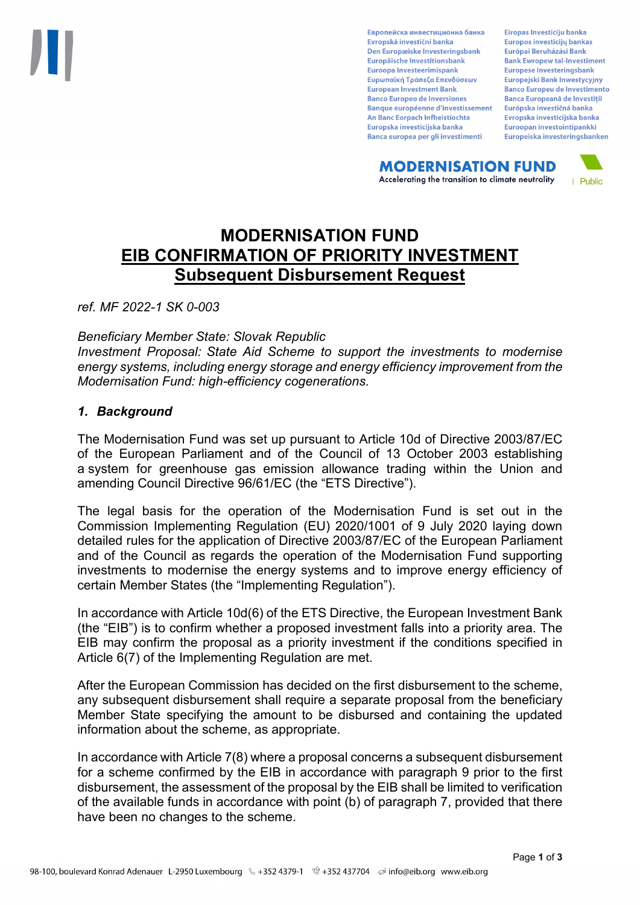Европейска инвестиционна банка Evropská investiční banka Den Europæiske Investeringsbank Europäische Investitionsbank Euroopa Investeerimispank Ευρωπαϊκή Τράπεζα Επενδύσεων **European Investment Bank Banco Europeo de Inversiones Banque européenne d'investissement** An Banc Eorpach Infheistíochta Europska investicijska banka Banca europea per gli investimenti

Eiropas Investīciju banka Europos investicijų bankas Európai Beruházási Bank **Bank Ewropew tal-Investiment** Europese Investeringsbank **Europejski Bank Inwestycyjny Banco Europeu de Investimento Banca Europeană de Investiții** Európska investičná banka Evropska investicijska banka Euroopan investointipankki Europeiska investeringsbanken

**MODERNISATION FUND** Accelerating the transition to climate neutrality



# **MODERNISATION FUND EIB CONFIRMATION OF PRIORITY INVESTMENT Subsequent Disbursement Request**

*ref. MF 2022-1 SK 0-003*

*Beneficiary Member State: Slovak Republic*

*Investment Proposal: State Aid Scheme to support the investments to modernise energy systems, including energy storage and energy efficiency improvement from the Modernisation Fund: high-efficiency cogenerations.* 

## *1. Background*

The Modernisation Fund was set up pursuant to Article 10d of Directive 2003/87/EC of the European Parliament and of the Council of 13 October 2003 establishing a system for greenhouse gas emission allowance trading within the Union and amending Council Directive 96/61/EC (the "ETS Directive").

The legal basis for the operation of the Modernisation Fund is set out in the Commission Implementing Regulation (EU) 2020/1001 of 9 July 2020 laying down detailed rules for the application of Directive 2003/87/EC of the European Parliament and of the Council as regards the operation of the Modernisation Fund supporting investments to modernise the energy systems and to improve energy efficiency of certain Member States (the "Implementing Regulation").

In accordance with Article 10d(6) of the ETS Directive, the European Investment Bank (the "EIB") is to confirm whether a proposed investment falls into a priority area. The EIB may confirm the proposal as a priority investment if the conditions specified in Article 6(7) of the Implementing Regulation are met.

After the European Commission has decided on the first disbursement to the scheme, any subsequent disbursement shall require a separate proposal from the beneficiary Member State specifying the amount to be disbursed and containing the updated information about the scheme, as appropriate.

In accordance with Article 7(8) where a proposal concerns a subsequent disbursement for a scheme confirmed by the EIB in accordance with paragraph 9 prior to the first disbursement, the assessment of the proposal by the EIB shall be limited to verification of the available funds in accordance with point (b) of paragraph 7, provided that there have been no changes to the scheme.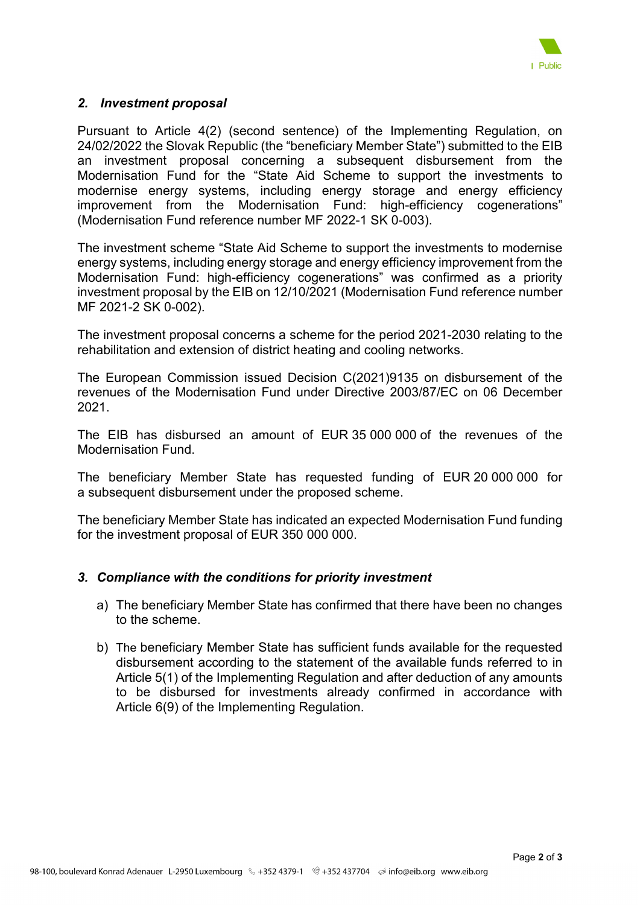

## *2. Investment proposal*

Pursuant to Article 4(2) (second sentence) of the Implementing Regulation, on 24/02/2022 the Slovak Republic (the "beneficiary Member State") submitted to the EIB an investment proposal concerning a subsequent disbursement from the Modernisation Fund for the "State Aid Scheme to support the investments to modernise energy systems, including energy storage and energy efficiency improvement from the Modernisation Fund: high-efficiency cogenerations" (Modernisation Fund reference number MF 2022-1 SK 0-003).

The investment scheme "State Aid Scheme to support the investments to modernise energy systems, including energy storage and energy efficiency improvement from the Modernisation Fund: high-efficiency cogenerations" was confirmed as a priority investment proposal by the EIB on 12/10/2021 (Modernisation Fund reference number MF 2021-2 SK 0-002).

The investment proposal concerns a scheme for the period 2021-2030 relating to the rehabilitation and extension of district heating and cooling networks.

The European Commission issued Decision C(2021)9135 on disbursement of the revenues of the Modernisation Fund under Directive 2003/87/EC on 06 December 2021.

The EIB has disbursed an amount of EUR 35 000 000 of the revenues of the Modernisation Fund.

The beneficiary Member State has requested funding of EUR 20 000 000 for a subsequent disbursement under the proposed scheme.

The beneficiary Member State has indicated an expected Modernisation Fund funding for the investment proposal of EUR 350 000 000.

## *3. Compliance with the conditions for priority investment*

- a) The beneficiary Member State has confirmed that there have been no changes to the scheme.
- b) The beneficiary Member State has sufficient funds available for the requested disbursement according to the statement of the available funds referred to in Article 5(1) of the Implementing Regulation and after deduction of any amounts to be disbursed for investments already confirmed in accordance with Article 6(9) of the Implementing Regulation.